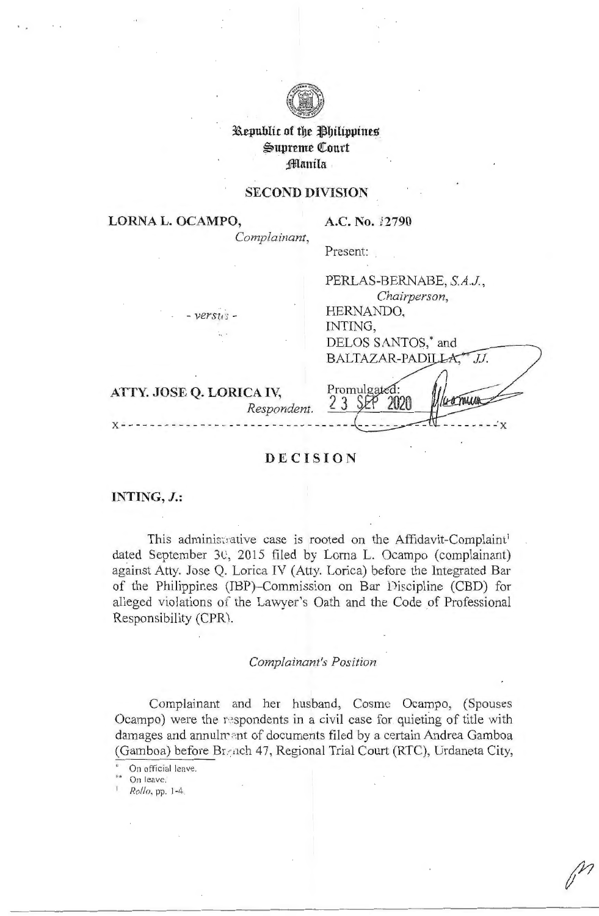

# **3a.epublit of tbe ~bilippines**   $\mathfrak{w}$ upreme Court **jjlllanila**

# **SECOND DIVISION**

**LORNA L. OCAMPO,** 

A.C. No. 12790

*Complainant,*  Present:

- *versJo'* -

| Chairperson,           |
|------------------------|
| HERNANDO,              |
| INTING,                |
| DELOS SANTOS,* and     |
| BALTAZAR-PADILLA<br>JI |
|                        |
| Promulgated            |
|                        |

- - - - - - - - x

PERLAS-BERNABE, *S.A.J ,* 

**ATTY. JOSE Q. LORICA IV,**  *Respondent.* 

# **DECISION**

**INTING, J.:** 

This administrative case is rooted on the Affidavit-Complaint<sup>1</sup> dated September 30, 2015 filed by Lorna L. Ocampo (complainant) against Atty. Jose Q. Lorica IV (Atty. Lorica) before the Integrated Bar of the Philippines (IBP)-Commission on Bar Discipline (CBD) for alleged violations of the Lawyer's Oath and the Code of Professional Responsibility (CPR).

## *Complainant's Position*

Complainant and her husband, Cosme Ocampo, (Spouses Ocampo) were the respondents in a civil case for quieting of title with damages and annulrent of documents filed by a certain Andrea Gamboa (Gamboa) before Br::,1ch 47, Regional Trial Court (RTC), Urdaneta City,

On official leave.

On leave.

1 *Rollo,* pp. 1-4.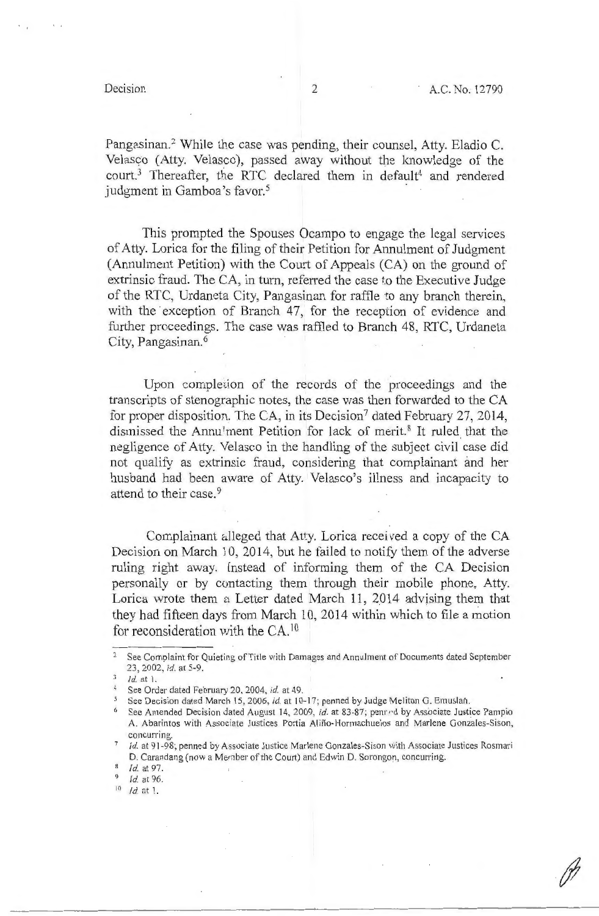$1 - 4$ 

Pangasinan.2 While the case was pending, their counsel, Atty. Eladio C. Velasco (Atty. Velasco), passed away without the knowledge of the court.<sup>3</sup> Thereafter, the RTC declared them in default<sup>4</sup> and rendered judgment in Gamboa's favor.<sup>5</sup>

This prompted the Spouses Ocampo to engage the legal services of Atty. Lorica for the filing of their Petition for Annulment of Judgment (Annulment Petition) with the Court of Appeals (CA) on the ground of extrinsic fraud. The CA, in turn, referred the case to the Executive Judge of the RTC, Urdaneta City, Pangasinan for raffle to any branch therein, with the exception of Branch 47, for the reception of evidence and further proceedings. The case was raffled to Branch 48, RTC, Urdaneta City, Pangasinan.<sup>6</sup>

Upon completion of the records of the proceedings and the transcripts of stenographic notes, the case was then forwarded to the CA for proper disposition. The CA, in its Decision<sup>7</sup> dated February 27, 2014, dismissed the Annu'ment Petition for lack of merit.<sup>8</sup> It ruled that the negligence of Atty. Velasco in the handling of the subject civil case did not qualify as extrinsic fraud, considering that complainant and her husband had been aware of Atty. Velasco's illness and incapacity to attend to their case.<sup>9</sup>

Complainant alleged that Atty. Lorica received a copy of the CA Decision on March 10, 2014, but he failed to notify them of the adverse ruling right away. (nstead of informing them of the CA Decision personally or by contacting them through their mobile phone, Atty. Lorica wrote them a Letter dated March 11, 2014 advising them that they had fifteen days from March 10, 2014 within which to file a motion for reconsideration with the CA.<sup>10</sup>

<sup>&</sup>lt;sup>2</sup> See Complaint for Quieting of Title with Damages and Annulment of Documents dated September 23, 2002, *id.* at 5-9.

<sup>3</sup>Id. at 1.

<sup>4</sup> See Order dated February 20, 2004, *id.* at 49.

<sup>&</sup>lt;sup>5</sup> See Decision dated March 15, 2006, *id.* at 10-17; penned by Judge Meliton G. Emuslan.

<sup>&</sup>lt;sup>6</sup> See Amended Decision dated August 14, 2009, *id.* at 83-87; penr•d by Associate Justice Pampio A. Abarintos with Associate Justices Portia Aliño-Hormachuelos and Marlene Gonzales-Sison, concurring.

<sup>7</sup>*Id.* at 91-98; penned by Associate Justice Marlene Gonzales-Sison *vii* th Associate Justices Rosmari D. Carandang (now a Member of the Court) and Edwin D. Sorongon, concurring.

Id. at 97.

<sup>&</sup>lt;sup>9</sup> *Id.* at 96.

 $10$  *Id.* at 1.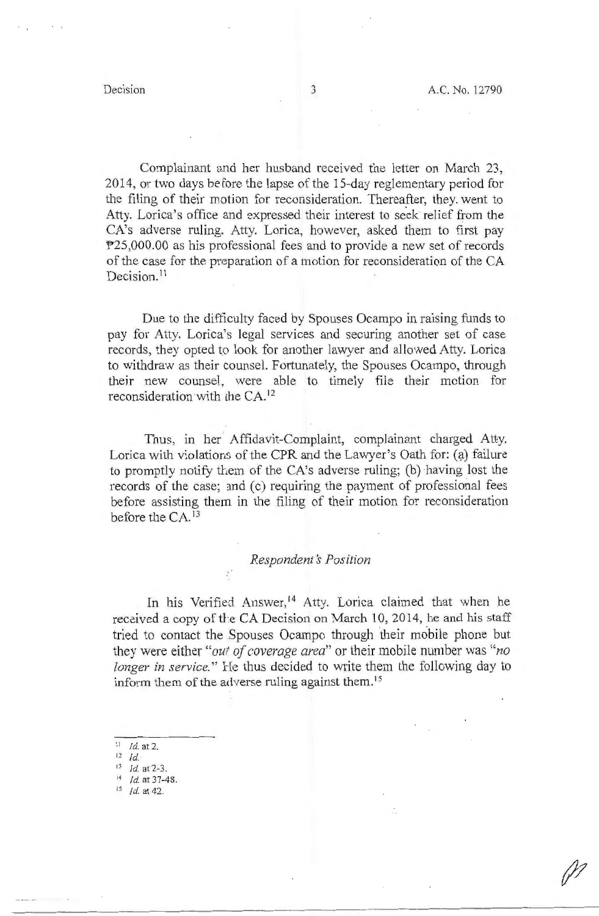Complainant and her husband received the letter on March 23, 2014, or two days before the lapse of the 15-day reglementary period for the filing of their motion for reconsideration. Thereafter, they. went to Atty. Lorica's office and expressed their interest to seek relief from the CA's adverse ruling. Atty. Lorica, however, asked them to first pay P25,000.00 as his professional fees and to provide a new set of records of the case for the preparation of a motion for reconsideration of the CA Decision.<sup>11</sup>

Due to the difficulty faced by Spouses Ocampo in raising funds to pay for Atty. Lorica's legal services and securing another set of case records, they opted to look for another lawyer and allowed Atty. Lorica to withdraw as their counsel. Fortunately, the Spouses Ocampo, through their new counsel, were able to timely file their motion for reconsideration with the CA.<sup>12</sup>

Thus, in her Affidavit-Complaint, complainant charged Atty. Lorica with violations of the CPR and the Lawyer's Oath for: (a) failure to promptly notify them of the CA's adverse ruling; (b) having lost the records of the case; and (c) requiring the payment of professional fees before assisting them in the filing of their motion for reconsideration before the CA.<sup>13</sup>

## $Respondent's Position$

In his Verified Answer,<sup>14</sup> Atty. Lorica claimed that when he received a copy of the CA Decision on March 10, 2014, he and his staff tried to contact the Spouses Ocampo through their mobile phone but they were either *"out of coverage area"* or their mobile number was *"no longer in service.*" He thus decided to write them the following day to inform them of the adverse ruling against them.<sup>15</sup>

- $11$  *Id.* at 2.
- $12 \,$   $Id.$
- 13 Id. at 2-3.
- <sup>14</sup> *Id.* at 37-48.
- 15 Id. at 42.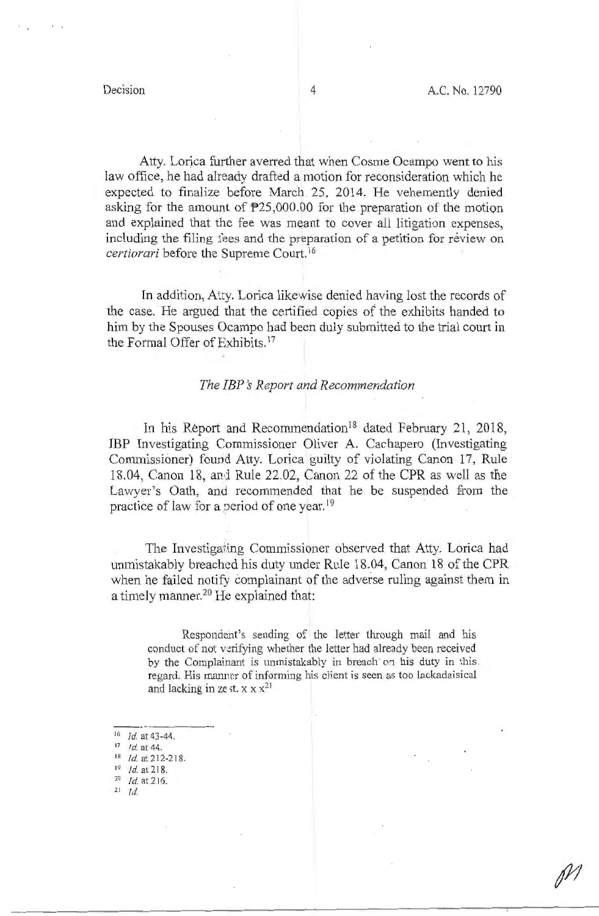Atty. Lorica further averred that when Cosme Ocampo went to his law office, he had already drafted a motion for reconsideration which he expected to finalize before March . 25, 2014. He vehemently denied asking for the amount of P25,000.00 for the preparation of the motion and explained that the fee was meant to cover all litigation expenses, including the filing fees and the preparation of a petition for review on *certiorari* before the Supreme Court. <sup>16</sup>

In addition, Atty. Lorica likewise denied having lost the records of the case. He argued that the certified copies of the exhibits handed to him by the Spouses Ocampo had been duly submitted to the trial court in the Formal Offer of Exhibits. <sup>17</sup>

## *The IBP s Report and Recommendation*

In his Report and Recommendation<sup>18</sup> dated February 21, 2018, IBP Investigating Commissioner Oliver A. Cachapero (Investigating Commissioner) found Atty. Lorica guilty of violating Canon 17, Rule 18.04, Canon 18, and Rule 22.02, Canon 22 of the CPR as well as the Lawyer's Oath, and recommended that he be suspended from the practice of law for a period of one year.<sup>19</sup>

The Investigaring Commissioner observed that Atty. Lorica had unmistakably breached his duty under Rule 18.04, Canon 18 of the CPR when he failed notify complainant of the adverse ruling against them in a timely manner.20 He explained that:

Respondent's sending of the letter through mail and his conduct of not verifying whether the letter had already been received by the Complainant is unmistakably in breach on his duty in this, regard. His manner of informing his client is seen as too lackadaisical and lacking in ze st.  $x \times x^{21}$ 

- $16$  *Id.* at 43-44.
- 17 *Id.* at 44.
- $18$  *Id.* at 212-218.<br> $19$  *Id.* at 218.
- 
- <sup>20</sup> *Id.* at 216.
- 21 *Id.*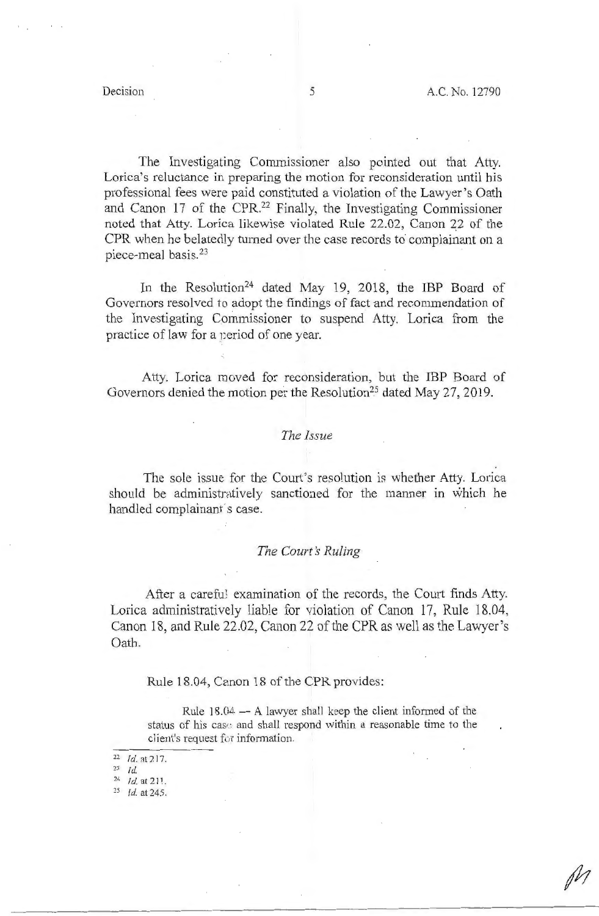The Investigating Commissioner also pointed out that Atty. Lorica's reluctance in preparing the motion for reconsideration until his professional fees were paid constituted a violation of the Lawyer's Oath and Canon 17 of the CPR. 22 Finally, the Investigating Commissioner noted that Atty. Lorica likewise violated Rule 22.02, Canon 22 of the CPR when he belatedly turned over the case records to complainant on a piece-meal basis. 23

In the Resolution<sup>24</sup> dated May 19, 2018, the IBP Board of Governors resolved to adopt the findings of fact and recommendation of the Investigating Commissioner to suspend Atty. Lorica from the practice of law for a period of one year.

Atty. Lorica moved for reconsideration, but the IBP Board of Governors denied the motion per the Resolution<sup>25</sup> dated May 27, 2019.

### *The Issue*

The sole issue for the Court's resolution is whether Atty. Lorica should be administratively sanctioned for the manner in which he handled complainant s case.

### *The Court's Ruling*

After a careful examination of the records, the Court finds Atty. Lorica administratively liable for violation of Canon 17, Rule 18.04, Canon 18, and Rule 22.02, Canon 22 of the CPR as well as the Lawyer's Oath.

### Rule 18.04, Canon 18 of the CPR provides:

Rule  $18.04 - A$  lawyer shall keep the client informed of the status of his case and shall respond within a reasonable time to the client's request for information.

- <sup>22</sup> *Id.* at 217.
- 23 *Id.*

24 *Id.* at 211.

<sup>25</sup>*Id.* at 245.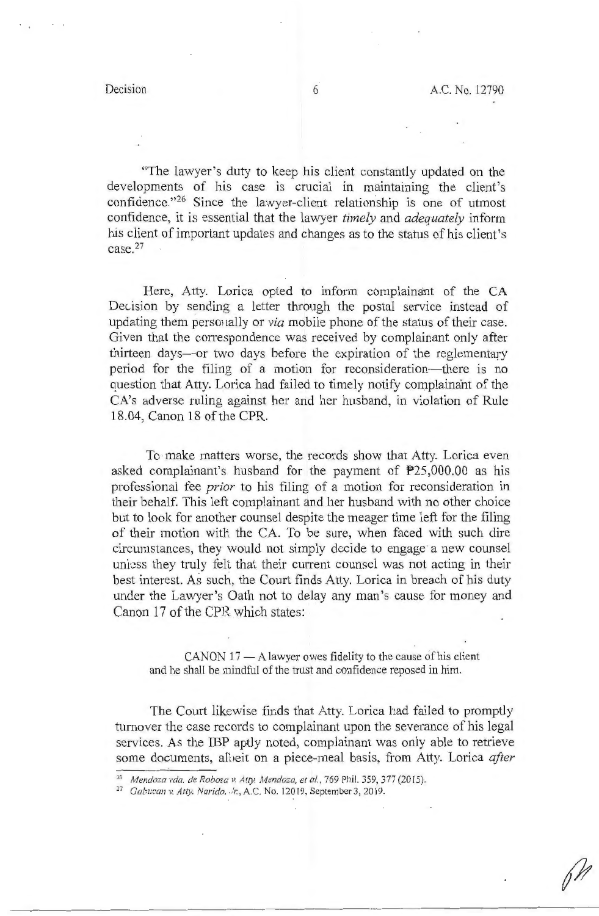"The lawyer's duty to keep his client constantly updated on the developments of his case is crucial in maintaining the client's confidence."26 Since the lawyer-client relationship is one of utmost confidence, it is essential that the lawyer *timely* and *adequately* inform his client of important updates and changes as to the status of his client's case.27

Here, Atty. Lorica opted to inform complainant of the CA Decision by sending a letter through the postal service instead of updating them personally or *via* mobile phone of the status of their case. Given that the correspondence was received by complainant only after thirteen days-or two days before the expiration of the reglementary period for the filing of a motion for reconsideration- there is no question that Atty. Lorica had failed to timely notify complainant of the CA's adverse ruling against her and her husband, in violation of Rule 18.04, Canon 18 of the CPR.

To make matters worse, the records show that Atty. Lorica even asked complainant's husband for the payment of P25,000.00 as his professional fee *prior* to his filing of a motion for reconsideration in their behalf. This left complainant and her husband with no other choice but to look for another counsel despite the meager time left for the filing of their motion with the CA. To be sure, when faced with such dire circumstances, they would not simply decide to engage· a new counsel unless they truly felt that their current counsel was not acting in their best interest. As such, the Court finds Atty. Lorica in breach of his duty under the Lawyer's Oath not to delay any man's cause for money and Canon 17 of the CPR which states:

 $CANON$  17  $- A$  lawyer owes fidelity to the cause of his client and he shall be mindful of the trust and confidence reposed in him.

The Court likewise finds that Atty. Lorica had failed to promptly turnover the case records to complainant upon the severance of his legal services. As the IBP aptly noted, complainant was only able to retrieve some documents, all eit on a piece-meal basis, from Atty. Lorica *after* 

<sup>26</sup> *Mendoza vda. de Robosc: v. Atty. Mendoza, et al.,* 769 Phil. 359, 377(2015).

<sup>&</sup>lt;sup>27</sup> Gabucan v. Atty. Narido, ./r., A.C. No. 12019, September 3, 2019.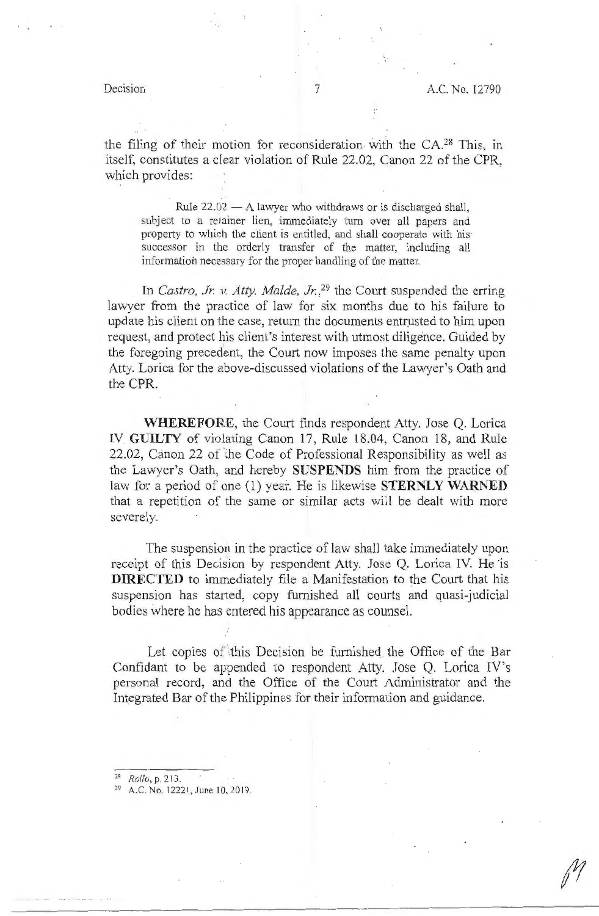the filing of their motion for reconsideration with the CA.<sup>28</sup> This, in itself, constitutes a clear violation of Rule 22.02, C\_anon 22 of the CPR, which provides:

Rule  $22.02 - A$  lawyer who withdraws or is discharged shall, subject to a retainer lien, immediately turn over all papers and property to which the client is entitled, and shall cooperate with his successor in the orderly transfer of the matter, including all information necessary for the proper handling of the matter.

In *Castro, Jr. v. Atty. Malde, Jr.*,<sup>29</sup> the Court suspended the erring lawyer from the practice of law for six months due to his failure to update his client on the case, return the documents entrusted to him upon request, and protect his client's interest with utmost diligence. Guided by the foregoing precedent, the Court now imposes the same penalty upon Atty. Lorica for the above-discussed violations of the Lawyer's Oath and the CPR.

**WHEREFORE,** the Court finds respondent Atty. Jose Q. Lorica IV **GUILTY** of violating Canon 17, Rule 18.04, Canon 18, and Rule 22.02, Canon 22 of the Code of Professional Responsibility as well as the Lawyer's Oath, and hereby **SUSPENDS** him from the practice of law for a period of one (1) year. He is likewise **STERNLY WARNED**  that a repetition of the same or similar acts will be dealt with more severely.

The suspension in the practice of law shall take immediately upon receipt of this Decision by respondent Atty. Jose Q. Lorica IV. He is **DIRECTED** to immediately file a Manifestation to the Court that his suspension has started, copy furnished all courts and quasi-judicial bodies where he has entered his appearance as counsel.

Let copies of this Decision be furnished the Office of the Bar Confidant to be appended to respondent Atty. Jose Q. Lorica IV's personal record, and the Office of the Court Administrator and the Integrated Bar of the Philippines for their information and guidance.

- *<sup>i</sup> R Rolle,,* p. 213.
- A.C. No. 12221, June 10, 2019.